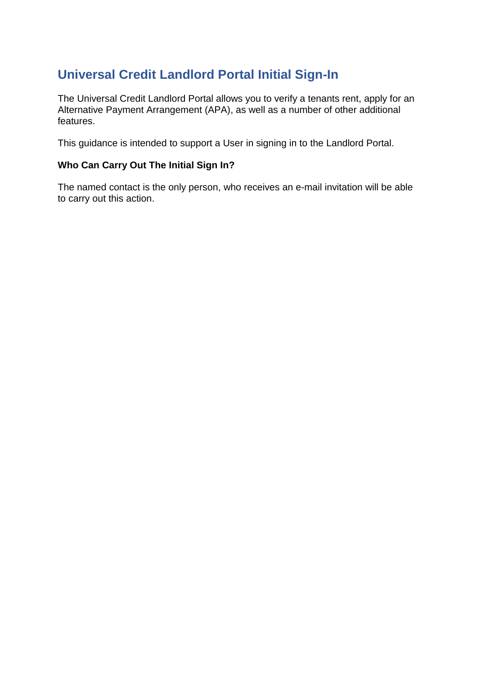## **Universal Credit Landlord Portal Initial Sign-In**

The Universal Credit Landlord Portal allows you to verify a tenants rent, apply for an Alternative Payment Arrangement (APA), as well as a number of other additional features.

This guidance is intended to support a User in signing in to the Landlord Portal.

## **Who Can Carry Out The Initial Sign In?**

The named contact is the only person, who receives an e-mail invitation will be able to carry out this action.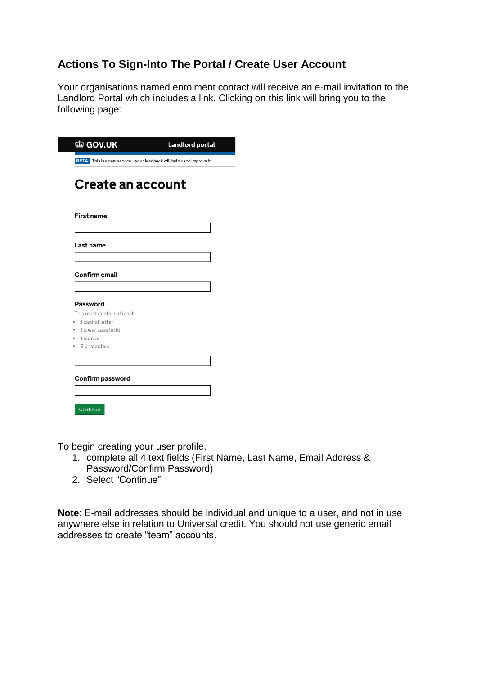## **Actions To Sign-Into The Portal / Create User Account**

Your organisations named enrolment contact will receive an e-mail invitation to the Landlord Portal which includes a link. Clicking on this link will bring you to the following page:

| Last name                                                              |  |
|------------------------------------------------------------------------|--|
|                                                                        |  |
| <b>Confirm email</b>                                                   |  |
| Password                                                               |  |
| This must contain at least:<br>1 capital letter<br>1 lower case letter |  |
| 1 number<br>8 characters                                               |  |

To begin creating your user profile,

- 1. complete all 4 text fields (First Name, Last Name, Email Address & Password/Confirm Password)
- 2. Select "Continue"

**Note**: E-mail addresses should be individual and unique to a user, and not in use anywhere else in relation to Universal credit. You should not use generic email addresses to create "team" accounts.